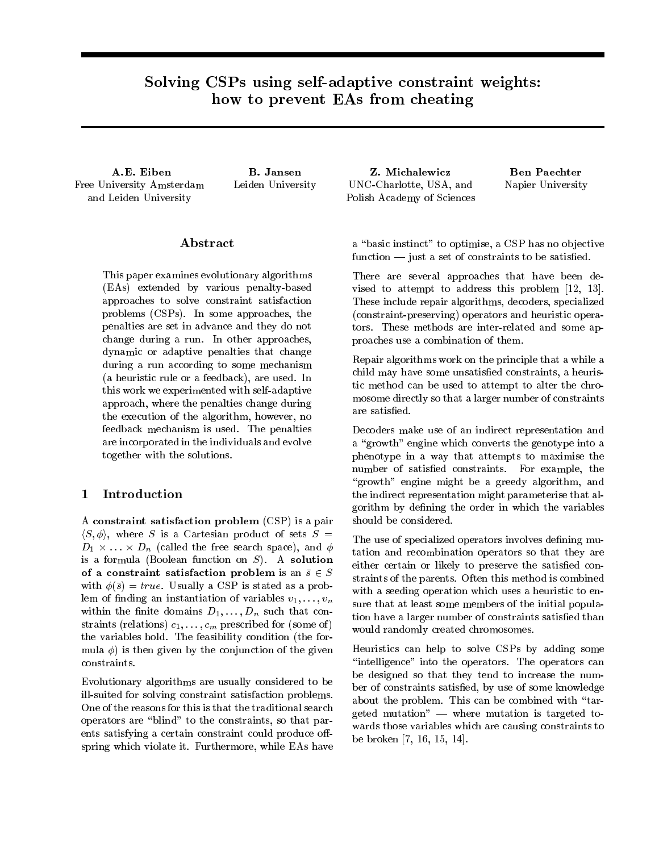# Solving CSPs using self-adaptive constraint weights: how to prevent EAs from cheating

A.E. Eiben Free University Amsterdam and Leiden University

B. Jansen Leiden University

### Abstract

This paper examines evolutionary algorithms (EAs) extended by various penalty-based approaches to solve constraint satisfaction problems (CSPs). In some approaches, the penalties are set in advance and they do not change during a run. In other approaches, dynamic or adaptive penalties that change during a run according to some mechanism (a heuristic rule or a feedback), are used. In this work we experimented with self-adaptive approach, where the penalties change during are satisfied. the execution of the algorithm, however, no feedback mechanism is used. The penalties are incorporated in the individuals and evolve together with the solutions.

# 1 Introduction

A constraint satisfaction problem (CSP) is a pair  $\langle S, \phi \rangle$ , where S is a Cartesian product of sets  $S =$  $D_1 \times \ldots \times D_n$  (called the free search space), and  $\phi$ is a formula (Boolean function on  $S$ ). A solution of a constraint satisfaction problem is an  $\bar{s} \in S$ with  $\phi(\bar{s}) = true$ . Usually a CSP is stated as a problem of finding an instantiation of variables  $v_1, \ldots, v_n$ within the finite domains  $D_1, \ldots, D_n$  such that constraints (relations)  $c_1,\ldots,c_m$  prescribed for (some of) the variables hold. The feasibility condition (the for mula  $\phi$ ) is then given by the conjunction of the given constraints.

Evolutionary algorithms are usually considered to be ill-suited for solving constraint satisfaction problems. One of the reasons for this is that the traditional search operators are \blind" to the constraints, so that parents satisfying a certain constraint could produce offspring which violate it. Furthermore, while EAs have

Z. Michalewicz UNC-Charlotte, USA, and Polish Academy of Sciences

Ben Paechter Napier University

a "basic instinct" to optimise, a CSP has no objective  $function$  - just a set of constraints to be satisfied.

There are several approaches that have been devised to attempt to address this problem [12, 13]. These include repair algorithms, decoders, specialized (constraint-preserving) operators and heuristic operators. These methods are inter-related and some approaches use a combination of them.

Repair algorithms work on the principle that a while a child may have some unsatisfied constraints, a heuristic method can be used to attempt to alter the chromosome directly so that a larger number of constraints

Decoders make use of an indirect representation and a "growth" engine which converts the genotype into a phenotype in a way that attempts to maximise the number of satisfied constraints. For example, the "growth" engine might be a greedy algorithm, and the indirect representation might parameterise that algorithm by defining the order in which the variables should be considered.

The use of specialized operators involves defining mutation and recombination operators so that they are either certain or likely to preserve the satisfied constraints of the parents. Often this method is combined with a seeding operation which uses a heuristic to ensure that at least some members of the initial population have a larger number of constraints satised than would randomly created chromosomes.

Heuristics can help to solve CSPs by adding some "intelligence" into the operators. The operators can be designed so that they tend to increase the number of constraints satisfied, by use of some knowledge about the problem. This can be combined with "targeted mutation"  $\rightarrow$  where mutation is targeted towards those variables which are causing constraints to be broken [7, 16, 15, 14].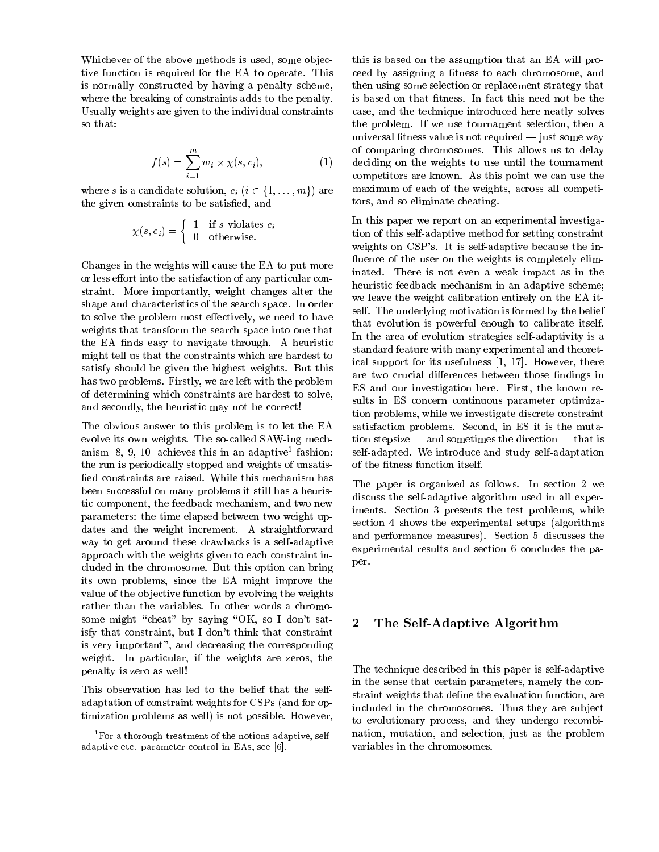Whichever of the above methods is used, some objective function is required for the EA to operate. This is normally constructed by having a penalty scheme, where the breaking of constraints adds to the penalty. Usually weights are given to the individual constraints so that:

$$
f(s) = \sum_{i=1}^{m} w_i \times \chi(s, c_i),
$$
 of  
de

where s is a candidate solution,  $c_i$   $(i \in \{1,...,m\})$  are the given constraints to be satisfied, and

$$
\chi(s, c_i) = \left\{ \begin{array}{ll} 1 & \text{if } s \text{ violates } c_i \\ 0 & \text{otherwise.} \end{array} \right.
$$

Changes in the weights will cause the EA to put more or less effort into the satisfaction of any particular constraint. More importantly, weight changes alter the shape and characteristics of the search space. In order to solve the problem most effectively, we need to have weights that transform the search space into one that the EA finds easy to navigate through. A heuristic might tell us that the constraints which are hardest to satisfy should be given the highest weights. But this has two problems. Firstly, we are left with the problem of determining which constraints are hardest to solve, and secondly, the heuristic may not be correct!

The obvious answer to this problem is to let the EA evolve its own weights. The so-called SAW-ing mechanism |o, 9, 10| achieves this in an adaptive Tashion: s the run is periodically stopped and weights of unsatis fied constraints are raised. While this mechanism has been successful on many problems it still has a heuristic component, the feedback mechanism, and two new parameters: the time elapsed between two weight updates and the weight increment. A straightforward way to get around these drawbacks is a self-adaptive approach with the weights given to each constraint included in the chromosome. But this option can bring its own problems, since the EA might improve the value of the ob jective function by evolving the weights rather than the variables. In other words a chromosome might "cheat" by saying "OK, so I don't satisfy that constraint, but I don't think that constraint is very important", and decreasing the corresponding weight. In particular, if the weights are zeros, the penalty is zero as well!

This observation has led to the belief that the selfadaptation of constraint weights for CSPs (and for optimization problems as well) is not possible. However,

this is based on the assumption that an EA will proceed by assigning a fitness to each chromosome, and then using some selection or replacement strategy that is based on that fitness. In fact this need not be the case, and the technique introduced here neatly solves the problem. If we use tournament selection, then a universal fitness value is not required  $-$  just some way of comparing chromosomes. This allows us to delay deciding on the weights to use until the tournament competitors are known. As this point we can use the maximum of each of the weights, across all competitors, and so eliminate cheating.

In this paper we report on an experimental investigation of this self-adaptive method for setting constraint weights on CSP's. It is self-adaptive because the in fluence of the user on the weights is completely eliminated. There is not even a weak impact as in the heuristic feedback mechanism in an adaptive scheme; we leave the weight calibration entirely on the EA itself. The underlying motivation is formed by the belief that evolution is powerful enough to calibrate itself. In the area of evolution strategies self-adaptivity is a standard feature with many experimental and theoretical support for its usefulness [1, 17]. However, there are two crucial differences between those findings in ES and our investigation here. First, the known results in ES concern continuous parameter optimization problems, while we investigate discrete constraint satisfaction problems. Second, in ES it is the mutation stepsize  $-$  and sometimes the direction  $-$  that is self-adapted. We introduce and study self-adaptation of the fitness function itself.

The paper is organized as follows. In section 2 we discuss the self-adaptive algorithm used in all experiments. Section 3 presents the test problems, while section 4 shows the experimental setups (algorithms and performance measures). Section 5 discusses the experimental results and section 6 concludes the paper.

# 2 The Self-Adaptive Algorithm

The technique described in this paper is self-adaptive in the sense that certain parameters, namely the constraint weights that define the evaluation function, are included in the chromosomes. Thus they are sub ject to evolutionary process, and they undergo recombination, mutation, and selection, just as the problem variables in the chromosomes.

<sup>&</sup>lt;sup>1</sup>For a thorough treatment of the notions adaptive, selfadaptive etc. parameter control in EAs, see [6].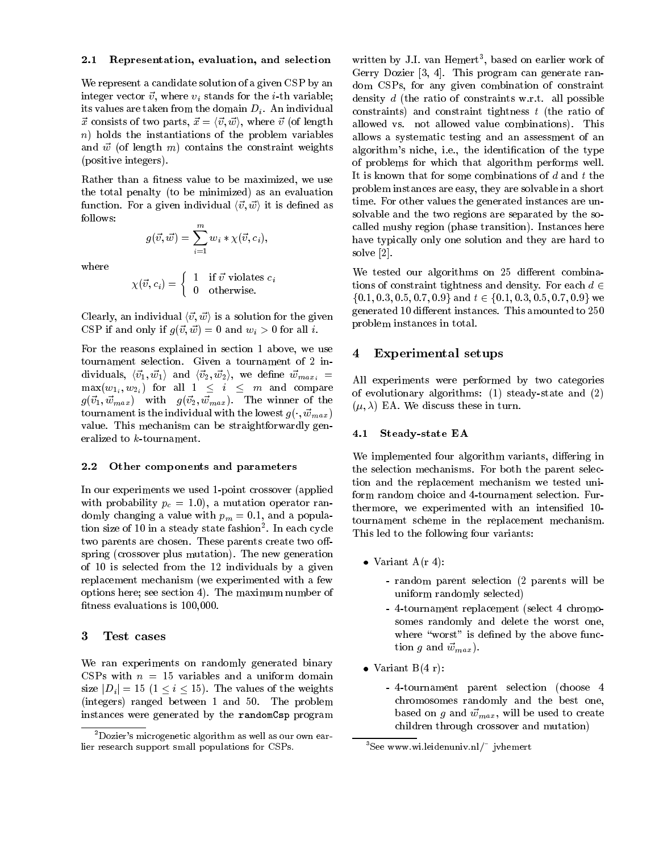#### 2.1 Representation, evaluation, and selection

We represent a candidate solution of a given CSP by an integer vector  $\vec{v}$ , where  $v_i$  stands for the *i*-th variable; its values are taken from the domain  $D_i$ . An individual  $\vec{x}$  consists of two parts,  $\vec{x} = \langle \vec{v}, \vec{w} \rangle$ , where  $\vec{v}$  (of length allow n) holds the instantiations of the problem variables and  $\vec{w}$  (of length m) contains the constraint weights (positive integers).

Rather than a fitness value to be maximized, we use the total penalty (to be minimized) as an evaluation function. For a given individual  $\langle \vec{v}, \vec{w} \rangle$  it is defined as follows:

$$
g(\vec{v},\vec{w}) = \sum_{i=1}^m w_i * \chi(\vec{v},c_i),
$$

where

$$
\chi(\vec{v}, c_i) = \begin{cases} 1 & \text{if } \vec{v} \text{ violates } c_i \\ 0 & \text{otherwise.} \end{cases}
$$

Clearly, an individual  $\langle \vec{v}, \vec{w} \rangle$  is a solution for the given CSP if and only if  $g(\vec{v}, \vec{w}) = 0$  and  $w_i > 0$  for all i.

For the reasons explained in section 1 above, we use  $\overline{4}$ tournament selection. Given a tournament of 2 individuals,  $\langle \vec{v_1}, \vec{w_1} \rangle$  and  $\langle \vec{v_2}, \vec{w_2} \rangle$ , we define  $\vec{w}_{max_i}$  =  $\max(w_{1_i}, w_{2_i})$  for all  $1 \leq i \leq m$  and compare  $g(\vec{v}_1, \vec{w}_{max})$  with  $g(\vec{v}_2, \vec{w}_{max})$ . The winner of the tournament is the individual with the lowest  $g(\cdot, \vec{w}_{max})$ value. This mechanism can be straightforwardly generalized to k-tournament.

#### 2.2 Other components and parameters

In our experiments we used 1-point crossover (applied with probability  $p_c = 1.0$ , a mutation operator randomly changing a value with  $p_m = 0.1$ , and a population size of 10 in a steady state fashion. In each cycle  $\tau_{\rm{max}}$ two parents are chosen. These parents create two offspring (crossover plus mutation). The new generation of 10 is selected from the 12 individuals by a given replacement mechanism (we experimented with a few options here; see section 4). The maximum number of fitness evaluations is 100,000.

#### 3 Test cases

We ran experiments on randomly generated binary CSPs with  $n = 15$  variables and a uniform domain size  $|D_i| = 15$   $(1 \le i \le 15)$ . The values of the weights (integers) ranged between 1 and 50. The problem instances were generated by the randomCsp program

written by J.I. van Hemert<sup>-</sup>, based on earlier work of Gerry Dozier [3, 4]. This program can generate random CSPs, for any given combination of constraint density <sup>d</sup> (the ratio of constraints w.r.t. all possible constraints) and constraint tightness <sup>t</sup> (the ratio of allowed vs. not allowed value combinations). This allows a systematic testing and an assessment of an algorithm's niche, i.e., the identication of the type of problems for which that algorithm performs well. It is known that for some combinations of  $d$  and  $t$  the problem instances are easy, they are solvable in a short time. For other values the generated instances are unsolvable and the two regions are separated by the socalled mushy region (phase transition). Instances here have typically only one solution and they are hard to solve [2].

We tested our algorithms on 25 different combinations of constraint tightness and density. For each  $d \in$  $\{0.1, 0.3, 0.5, 0.7, 0.9\}$  and  $t \in \{0.1, 0.3, 0.5, 0.7, 0.9\}$  we generated 10 different instances. This amounted to 250 problem instances in total.

#### Experimental setups

All experiments were performed by two categories of evolutionary algorithms: (1) steady-state and (2)  $(\mu, \lambda)$  EA. We discuss these in turn.

#### 4.1 Steady-state EA

We implemented four algorithm variants, differing in the selection mechanisms. For both the parent selection and the replacement mechanism we tested uniform random choice and 4-tournament selection. Furthermore, we experimented with an intensied 10 tournament scheme in the replacement mechanism. This led to the following four variants:

- Variant A(r 4):
	- random parent selection (2 parents will be uniform randomly selected)
	- 4-tournament replacement (select 4 chromosomes randomly and delete the worst one, where "worst" is defined by the above function g and  $\vec{w}_{max}$ ).
- Variant B(4 r):
	- 4-tournament parent selection (choose 4 chromosomes randomly and the best one, based on g and  $\vec{w}_{max}$ , will be used to create children through crossover and mutation)

<sup>2</sup>Dozier's microgenetic algorithm as well as our own earlier research support small populations for CSPs.

<sup>&</sup>lt;sup>3</sup>See www.wi.leidenuniv.nl/ $\tilde{ }$  jvhemert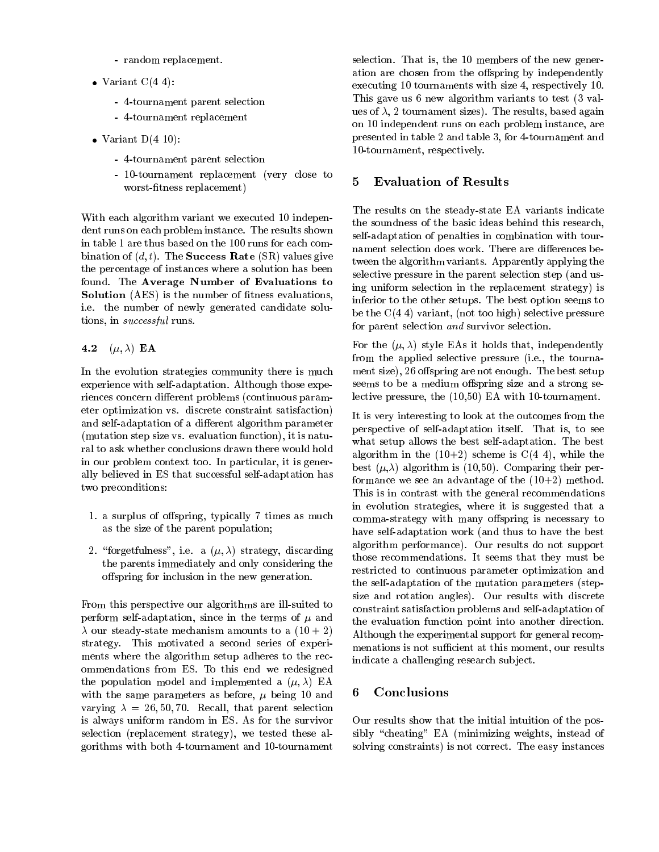- random replacement.
- Variant C(4 4):
	- 4-tournament parent selection
	- 4-tournament replacement
- $\bullet$  Variant D(4 10):
	- 4-tournament parent selection
	- $-$  10-tournament replacement (very close to  $5$ worst-fitness replacement)

With each algorithm variant we executed 10 independent runs on each problem instance. The results shown in table 1 are thus based on the 100 runs for each combination of  $(d, t)$ . The **Success Rate** (SR) values give the percentage of instances where a solution has been found. The Average Number of Evaluations to **Solution** (AES) is the number of fitness evaluations, i.e. the number of newly generated candidate solutions, in successful runs.

## 4.2  $(\mu, \lambda)$  EA

In the evolution strategies community there is much experience with self-adaptation. Although those experiences concern different problems (continuous parameter optimization vs. discrete constraint satisfaction) and self-adaptation of a different algorithm parameter (mutation step size vs. evaluation function), it is natural to ask whether conclusions drawn there would hold in our problem context too. In particular, it is generally believed in ES that successful self-adaptation has two preconditions:

- 1. a surplus of offspring, typically 7 times as much as the size of the parent population;
- 2. "forgetfulness", i.e. a  $(\mu, \lambda)$  strategy, discarding the parents immediately and only considering the offspring for inclusion in the new generation.

From this perspective our algorithms are ill-suited to perform self-adaptation, since in the terms of  $\mu$  and our steady-state mechanism amounts to a (10 + 2) strategy. This motivated a second series of experiments where the algorithm setup adheres to the recommendations from ES. To this end we redesigned the population model and implemented a  $(\mu, \lambda)$  EA with the same parameters as before,  $\mu$  being 10 and varying  $\lambda = 26, 50, 70$ . Recall, that parent selection is always uniform random in ES. As for the survivor selection (replacement strategy), we tested these algorithms with both 4-tournament and 10-tournament

selection. That is, the 10 members of the new generation are chosen from the offspring by independently executing 10 tournaments with size 4, respectively 10. This gave us 6 new algorithm variants to test (3 values of  $\lambda$ , 2 tournament sizes). The results, based again on 10 independent runs on each problem instance, are presented in table 2 and table 3, for 4-tournament and 10-tournament, respectively.

### 5 Evaluation of Results

The results on the steady-state EA variants indicate the soundness of the basic ideas behind this research, self-adaptation of penalties in combination with tournament selection does work. There are differences between the algorithm variants. Apparently applying the selective pressure in the parent selection step (and using uniform selection in the replacement strategy) is inferior to the other setups. The best option seems to be the  $C(4\;4)$  variant, (not too high) selective pressure for parent selection and survivor selection.

For the  $(\mu, \lambda)$  style EAs it holds that, independently from the applied selective pressure (i.e., the tournament size), 26 offspring are not enough. The best setup seems to be a medium offspring size and a strong selective pressure, the (10,50) EA with 10-tournament.

It is very interesting to look at the outcomes from the perspective of self-adaptation itself. That is, to see what setup allows the best self-adaptation. The best algorithm in the  $(10+2)$  scheme is  $C(4, 4)$ , while the best  $(\mu,\lambda)$  algorithm is (10,50). Comparing their performance we see an advantage of the  $(10+2)$  method. This is in contrast with the general recommendations in evolution strategies, where it is suggested that a comma-strategy with many offspring is necessary to have self-adaptation work (and thus to have the best algorithm performance). Our results do not support those recommendations. It seems that they must be restricted to continuous parameter optimization and the self-adaptation of the mutation parameters (stepsize and rotation angles). Our results with discrete constraint satisfaction problems and self-adaptation of the evaluation function point into another direction. Although the experimental support for general recommenations is not sufficient at this moment, our results indicate a challenging research sub ject.

#### 6 **Conclusions**

Our results show that the initial intuition of the possibly "cheating" EA (minimizing weights, instead of solving constraints) is not correct. The easy instances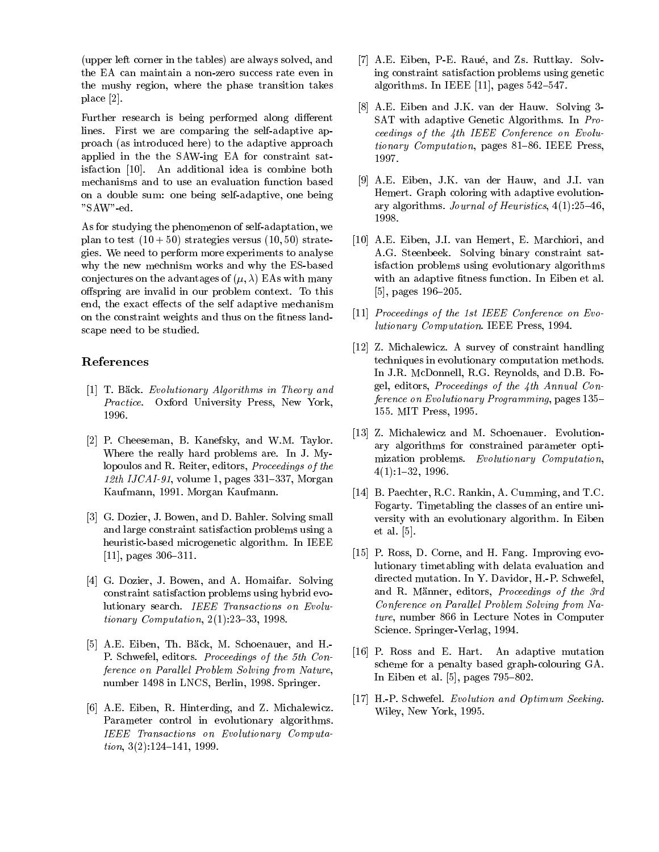(upper left corner in the tables) are always solved, and the EA can maintain a non-zero success rate even in the mushy region, where the phase transition takes place [2].

Further research is being performed along different lines. First we are comparing the self-adaptive approach (as introduced here) to the adaptive approach applied in the the SAW-ing EA for constraint satisfaction [10]. An additional idea is combine both mechanisms and to use an evaluation function based on a double sum: one being self-adaptive, one being "SAW"-ed.

As for studying the phenomenon of self-adaptation, we plan to test  $(10 + 50)$  strategies versus  $(10, 50)$  strategies. We need to perform more experiments to analyse why the new mechnism works and why the ES-based conjectures on the advantages of  $(\mu, \lambda)$  EAs with many offspring are invalid in our problem context. To this end, the exact effects of the self adaptive mechanism on the constraint weights and thus on the fitness landscape need to be studied.

# References

- [1] T. Bäck. Evolutionary Algorithms in Theory and Practice. Oxford University Press, New York, 1996.
- [2] P. Cheeseman, B. Kanefsky, and W.M. Taylor. Where the really hard problems are. In J. Mylopoulos and R. Reiter, editors, Proceedings of the 12th IJCAI-91, volume 1, pages  $331-337$ , Morgan Kaufmann, 1991. Morgan Kaufmann.
- [3] G. Dozier, J. Bowen, and D. Bahler. Solving small and large constraint satisfaction problems using a heuristic-based microgenetic algorithm. In IEEE  $[11]$ , pages 306-311.
- [4] G. Dozier, J. Bowen, and A. Homaifar. Solving constraint satisfaction problems using hybrid evolutionary search. IEEE Transactions on Evolutionary Computation,  $2(1):23{-}33, 1998$ .
- [5] A.E. Eiben, Th. Bäck, M. Schoenauer, and H.-P. Schwefel, editors. Proceedings of the 5th Conference on Parallel Problem Solving from Nature, number 1498 in LNCS, Berlin, 1998. Springer.
- [6] A.E. Eiben, R. Hinterding, and Z. Michalewicz. Parameter control in evolutionary algorithms. IEEE Transactions on Evolutionary Computa $tion, 3(2):124–141, 1999.$
- [7] A.E. Eiben, P-E. Raué, and Zs. Ruttkay. Solving constraint satisfaction problems using genetic algorithms. In IEEE [11], pages  $542-547$ .
- [8] A.E. Eiben and J.K. van der Hauw. Solving 3- SAT with adaptive Genetic Algorithms. In Proceedings of the 4th IEEE Conference on Evolutionary Computation, pages  $81-86$ . IEEE Press, 1997.
- [9] A.E. Eiben, J.K. van der Hauw, and J.I. van Hemert. Graph coloring with adaptive evolutionary algorithms. Journal of Heuristics,  $4(1):25{-}46$ , 1998.
- [10] A.E. Eiben, J.I. van Hemert, E. Marchiori, and A.G. Steenbeek. Solving binary constraint satisfaction problems using evolutionary algorithms with an adaptive fitness function. In Eiben et al. [5], pages  $196-205$ .
- [11] Proceedings of the 1st IEEE Conference on Evolutionary Computation. IEEE Press, 1994.
- [12] Z. Michalewicz. A survey of constraint handling techniques in evolutionary computation methods. In J.R. McDonnell, R.G. Reynolds, and D.B. Fogel, editors, Proceedings of the 4th Annual Conference on Evolutionary Programming, pages 135-155. MIT Press, 1995.
- [13] Z. Michalewicz and M. Schoenauer. Evolutionary algorithms for constrained parameter optimization problems. Evolutionary Computation,  $4(1):1-32, 1996.$
- [14] B. Paechter, R.C. Rankin, A. Cumming, and T.C. Fogarty. Timetabling the classes of an entire uni versity with an evolutionary algorithm. In Eiben et al. [5].
- [15] P. Ross, D. Corne, and H. Fang. Improving evolutionary timetabling with delata evaluation and directed mutation. In Y. Davidor, H.-P. Schwefel, and R. Männer, editors, Proceedings of the 3rd Conference on Parallel Problem Solving from Nature, number 866 in Lecture Notes in Computer Science. Springer-Verlag, 1994.
- [16] P. Ross and E. Hart. An adaptive mutation scheme for a penalty based graph-colouring GA. In Eiben et al.  $[5]$ , pages  $795{-}802$ .
- [17] H.-P. Schwefel. Evolution and Optimum Seeking. Wiley, New York, 1995.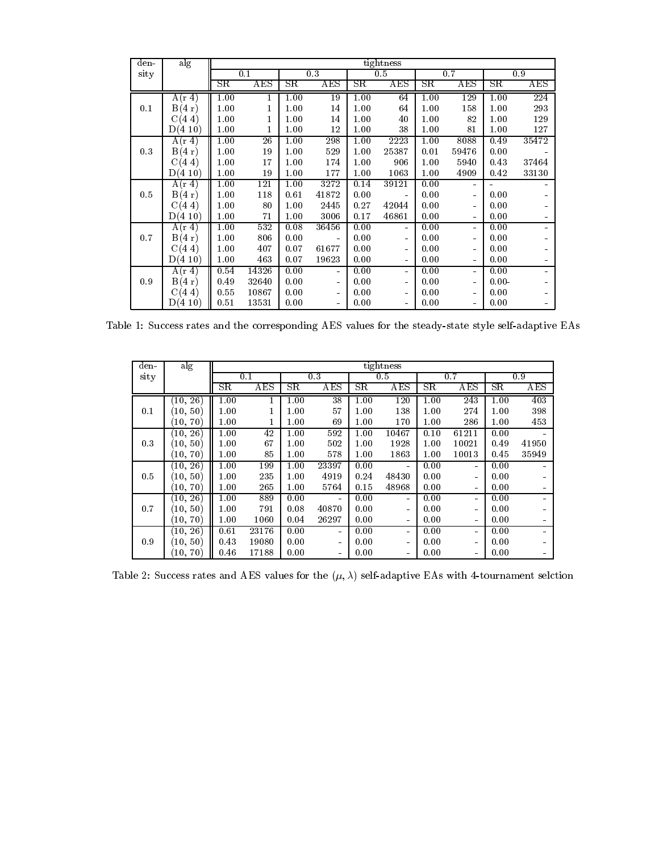| den- | alg     | tightness   |                 |             |                |             |                |             |                |          |                  |
|------|---------|-------------|-----------------|-------------|----------------|-------------|----------------|-------------|----------------|----------|------------------|
| sity |         | 0.1         |                 | 0.3         |                | 0.5         |                | 0.7         |                | 0.9      |                  |
|      |         | $_{\rm SR}$ | AES             | $_{\rm SR}$ | AES            | $_{\rm SR}$ | AES            | $_{\rm SR}$ | AES            | SΒ       | AES              |
|      | A(r 4)  | 1.00        | 1               | 1.00        | 19             | 1.00        | 64             | 1.00        | 129            | 1.00     | $\overline{224}$ |
| 0.1  | B(4 r)  | 1.00        | 1               | 1.00        | 14             | 1.00        | 64             | 1.00        | 158            | 1.00     | 293              |
|      | C(4, 4) | 1.00        | 1               | 1.00        | 14             | 1.00        | 40             | 1.00        | 82             | 1.00     | 129              |
|      | D(410)  | 1.00        | 1               | 1.00        | 12             | 1.00        | 38             | 1.00        | 81             | 1.00     | 127              |
|      | A(r 4)  | 1.00        | $\overline{26}$ | 1.00        | 298            | 1.00        | 2223           | 1.00        | 8088           | 0.49     | 35472            |
| 0.3  | B(4 r)  | 1.00        | 19              | 1.00        | 529            | 1.00        | 25387          | 0.01        | 59476          | 0.00     |                  |
|      | C(4, 4) | 1.00        | 17              | 1.00        | 174            | 1.00        | 906            | 1.00        | 5940           | 0.43     | 37464            |
|      | D(410)  | 1.00        | 19              | 1.00        | 177            | 1.00        | 1063           | 1.00        | 4909           | 0.42     | 33130            |
|      | A(r 4)  | 1.00        | 121             | 1.00        | 3272           | 0.14        | 39121          | 0.00        | ÷.             |          |                  |
| 0.5  | B(4 r)  | 1.00        | 118             | 0.61        | 41872          | 0.00        | $\blacksquare$ | 0.00        | $\blacksquare$ | 0.00     | $\sim$           |
|      | C(4, 4) | 1.00        | 80              | 1.00        | 2445           | 0.27        | 42044          | 0.00        | ÷              | 0.00     | $\sim$           |
|      | D(410)  | 1.00        | 71              | 1.00        | 3006           | 0.17        | 46861          | 0.00        | ÷,             | 0.00     | ۰.               |
|      | A(r 4)  | 1.00        | 532             | 0.08        | 36456          | 0.00        | ÷              | 0.00        | ä,             | 0.00     | $\blacksquare$   |
| 0.7  | B(4 r)  | 1.00        | 806             | 0.00        | $\blacksquare$ | 0.00        | ۰              | 0.00        | ۰              | 0.00     | $\sim$           |
|      | C(4, 4) | 1.00        | 407             | 0.07        | 61677          | 0.00        | ۰              | 0.00        | ÷,             | 0.00     | $\sim$           |
|      | D(410)  | 1.00        | 463             | 0.07        | 19623          | 0.00        | ÷.             | 0.00        | ÷,             | 0.00     | $\sim$           |
|      | A(r 4)  | 0.54        | 14326           | 0.00        | $\blacksquare$ | 0.00        | $\sim$         | 0.00        | ä,             | 0.00     | Ξ.               |
| 0.9  | B(4 r)  | 0.49        | 32640           | 0.00        | $\sim$         | 0.00        | ÷.             | 0.00        | ÷,             | $0.00 -$ | ۰                |
|      | C(4, 4) | 0.55        | 10867           | 0.00        | $\blacksquare$ | 0.00        | ٠              | 0.00        | $\blacksquare$ | 0.00     | $\sim$           |
|      | D(410)  | 0.51        | 13531           | 0.00        | ÷.             | 0.00        | $\blacksquare$ | 0.00        | ä,             | 0.00     | ۰.               |

Table 1: Success rates and the corresponding AES values for the steady-state style self-adaptive EAs

| den- | alg            | tightness   |       |      |                |             |                |      |                |      |       |
|------|----------------|-------------|-------|------|----------------|-------------|----------------|------|----------------|------|-------|
| sity |                | 0.1         |       | 0.3  |                | 0.5         |                | 0.7  |                | 0.9  |       |
|      |                | $_{\rm SR}$ | AES   | SΡ   | AES            | $_{\rm SR}$ | AES            | SR   | AES            | SΒ   | AES   |
|      | (10, 26)       | 1.00        |       | 1.00 | 38             | 1.00        | 120            | 1.00 | 243            | 1.00 | 403   |
| 0.1  | (10, 50)       | 1.00        |       | 1.00 | 57             | 1.00        | 138            | 1.00 | 274            | 1.00 | 398   |
|      | (10, 70)       | 1.00        |       | 1.00 | 69             | 1.00        | 170            | 1.00 | 286            | 1.00 | 453   |
|      | (10, 26)       | 1.00        | 42    | 1.00 | 592            | 1.00        | 10467          | 0.10 | 61211          | 0.00 |       |
| 0.3  | (10, 50)       | 1.00        | 67    | 1.00 | 502            | 1.00        | 1928           | 1.00 | 10021          | 0.49 | 41950 |
|      | (10, 70)       | 1.00        | 85    | 1.00 | 578            | 1.00        | 1863           | 1.00 | 10013          | 0.45 | 35949 |
|      | (10, 26)       | 1.00        | 199   | 1.00 | 23397          | 0.00        | $\blacksquare$ | 0.00 | $\blacksquare$ | 0.00 |       |
| 0.5  | (10, 50)       | 1.00        | 235   | 1.00 | 4919           | 0.24        | 48430          | 0.00 | $\blacksquare$ | 0.00 |       |
|      | (10, 70)       | 1.00        | 265   | 1.00 | 5764           | 0.15        | 48968          | 0.00 | $\blacksquare$ | 0.00 |       |
|      | (10, 26)       | 1.00        | 889   | 0.00 | $\blacksquare$ | 0.00        | $\blacksquare$ | 0.00 | $\blacksquare$ | 0.00 |       |
| 0.7  | $(10,\,50)$    | 1.00        | 791   | 0.08 | 40870          | 0.00        | $\blacksquare$ | 0.00 | $\blacksquare$ | 0.00 |       |
|      | $^{'}10,\,70)$ | 1.00        | 1060  | 0.04 | 26297          | 0.00        | $\sim$         | 0.00 | $\blacksquare$ | 0.00 |       |
|      | (10, 26)       | 0.61        | 23176 | 0.00 | $\blacksquare$ | 0.00        | $\sim$         | 0.00 | ۰              | 0.00 |       |
| 0.9  | (10, 50)       | 0.43        | 19080 | 0.00 | $\blacksquare$ | 0.00        | $\sim$         | 0.00 | $\blacksquare$ | 0.00 |       |
|      | (10, 70)       | 0.46        | 17188 | 0.00 | $\blacksquare$ | 0.00        | $\blacksquare$ | 0.00 | $\blacksquare$ | 0.00 |       |

Table 2: Success rates and AES values for the  $(\mu, \lambda)$  self-adaptive EAs with 4-tournament selction